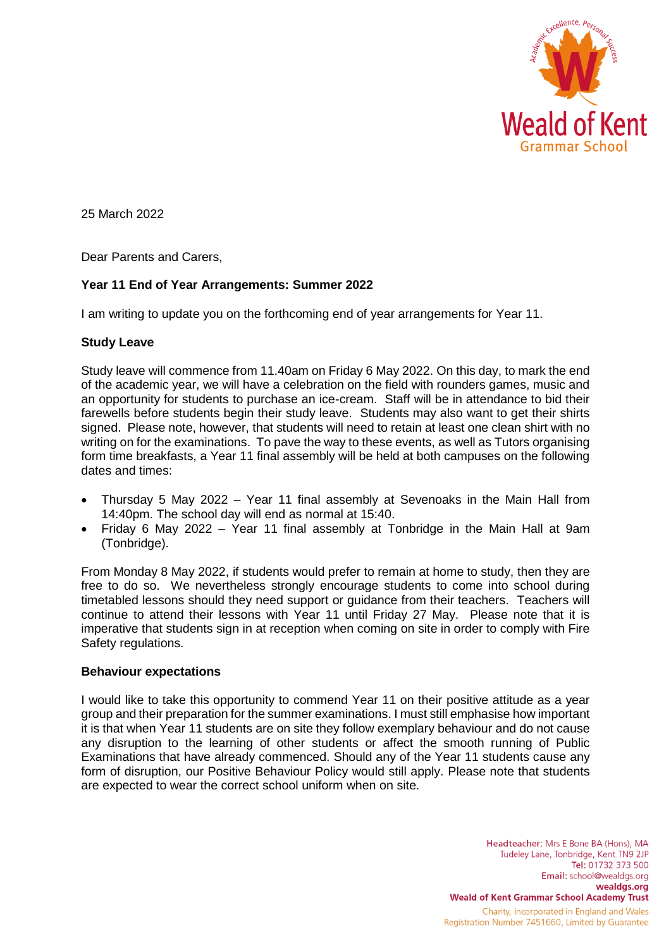

25 March 2022

Dear Parents and Carers,

# **Year 11 End of Year Arrangements: Summer 2022**

I am writing to update you on the forthcoming end of year arrangements for Year 11.

## **Study Leave**

Study leave will commence from 11.40am on Friday 6 May 2022. On this day, to mark the end of the academic year, we will have a celebration on the field with rounders games, music and an opportunity for students to purchase an ice-cream. Staff will be in attendance to bid their farewells before students begin their study leave. Students may also want to get their shirts signed. Please note, however, that students will need to retain at least one clean shirt with no writing on for the examinations. To pave the way to these events, as well as Tutors organising form time breakfasts, a Year 11 final assembly will be held at both campuses on the following dates and times:

- Thursday 5 May 2022 Year 11 final assembly at Sevenoaks in the Main Hall from 14:40pm. The school day will end as normal at 15:40.
- Friday 6 May 2022 Year 11 final assembly at Tonbridge in the Main Hall at 9am (Tonbridge).

From Monday 8 May 2022, if students would prefer to remain at home to study, then they are free to do so. We nevertheless strongly encourage students to come into school during timetabled lessons should they need support or guidance from their teachers. Teachers will continue to attend their lessons with Year 11 until Friday 27 May. Please note that it is imperative that students sign in at reception when coming on site in order to comply with Fire Safety regulations.

## **Behaviour expectations**

I would like to take this opportunity to commend Year 11 on their positive attitude as a year group and their preparation for the summer examinations. I must still emphasise how important it is that when Year 11 students are on site they follow exemplary behaviour and do not cause any disruption to the learning of other students or affect the smooth running of Public Examinations that have already commenced. Should any of the Year 11 students cause any form of disruption, our Positive Behaviour Policy would still apply. Please note that students are expected to wear the correct school uniform when on site.